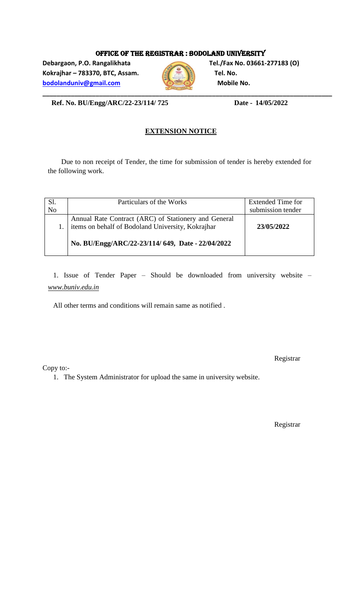#### OFFICE OF THE REGISTRAR : BODOLAND UNIVERSITY

**Debargaon, P.O. Rangalikhata Tel./Fax No. 03661-277183 (O) Kokrajhar – 783370, BTC, Assam. Tel. No. [bodolanduniv@gmail.com](mailto:bodolanduniv@gmail.com) Mobile No. Mobile No.** 



 **Ref. No. BU/Engg/ARC/22-23/114/ 725 Date - 14/05/2022**

#### **EXTENSION NOTICE**

Due to non receipt of Tender, the time for submission of tender is hereby extended for the following work.

|                | Particulars of the Works                                                                                  | <b>Extended Time for</b> |
|----------------|-----------------------------------------------------------------------------------------------------------|--------------------------|
| $\overline{N}$ |                                                                                                           | submission tender        |
|                | Annual Rate Contract (ARC) of Stationery and General<br>items on behalf of Bodoland University, Kokrajhar | 23/05/2022               |
|                | No. BU/Engg/ARC/22-23/114/649, Date - 22/04/2022                                                          |                          |

1. Issue of Tender Paper – Should be downloaded from university website – *www.buniv.edu.in*

All other terms and conditions will remain same as notified .

Copy to:-

Registrar

1. The System Administrator for upload the same in university website.

Registrar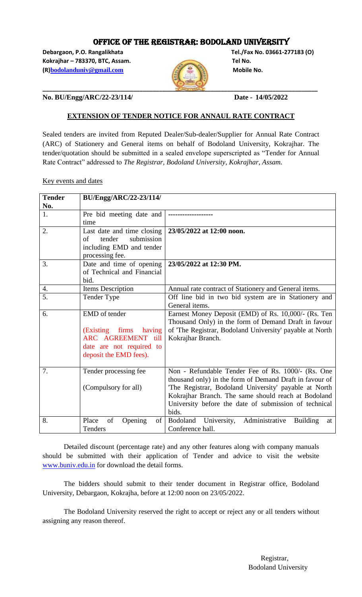#### OFFICE OF THE REGISTRAR: BODOLAND UNIVERSITY

**Debargaon, P.O. Rangalikhata Tel./Fax No. 03661-277183 (O) Kokrajhar – 783370, BTC, Assam. Tel No. (R)[bodolanduniv@gmail.com](mailto:bodolanduniv@gmail.com)** Mobile No.



**No. BU/Engg/ARC/22-23/114/ Date - 14/05/2022**

#### **EXTENSION OF TENDER NOTICE FOR ANNAUL RATE CONTRACT**

Sealed tenders are invited from Reputed Dealer/Sub-dealer/Supplier for Annual Rate Contract (ARC) of Stationery and General items on behalf of Bodoland University, Kokrajhar. The tender/quotation should be submitted in a sealed envelope superscripted as "Tender for Annual Rate Contract" addressed to *The Registrar, Bodoland University, Kokrajhar, Assam.*

Key events and dates

| <b>Tender</b>    | BU/Engg/ARC/22-23/114/       |                                                                 |
|------------------|------------------------------|-----------------------------------------------------------------|
| No.              |                              |                                                                 |
| 1.               | Pre bid meeting date and     |                                                                 |
|                  | time                         |                                                                 |
| 2.               | Last date and time closing   | 23/05/2022 at 12:00 noon.                                       |
|                  | submission<br>tender<br>of   |                                                                 |
|                  | including EMD and tender     |                                                                 |
|                  | processing fee.              |                                                                 |
| 3.               | Date and time of opening     | 23/05/2022 at 12:30 PM.                                         |
|                  | of Technical and Financial   |                                                                 |
|                  | bid.                         |                                                                 |
| 4.               | Items Description            | Annual rate contract of Stationery and General items.           |
| $\overline{5}$ . | Tender Type                  | Off line bid in two bid system are in Stationery and            |
|                  |                              | General items.                                                  |
| 6.               | EMD of tender                | Earnest Money Deposit (EMD) of Rs. 10,000/- (Rs. Ten            |
|                  |                              | Thousand Only) in the form of Demand Draft in favour            |
|                  | (Existing)<br>firms having   | of 'The Registrar, Bodoland University' payable at North        |
|                  | ARC AGREEMENT till           | Kokrajhar Branch.                                               |
|                  | date are not required to     |                                                                 |
|                  | deposit the EMD fees).       |                                                                 |
|                  |                              |                                                                 |
| 7.               | Tender processing fee        | Non - Refundable Tender Fee of Rs. 1000/- (Rs. One              |
|                  |                              | thousand only) in the form of Demand Draft in favour of         |
|                  | (Compulsory for all)         | 'The Registrar, Bodoland University' payable at North           |
|                  |                              | Kokrajhar Branch. The same should reach at Bodoland             |
|                  |                              | University before the date of submission of technical           |
|                  |                              | bids.                                                           |
| 8.               | Place<br>of<br>Opening<br>οf | Administrative<br>Bodoland University,<br><b>Building</b><br>at |
|                  | Tenders                      | Conference hall.                                                |

Detailed discount (percentage rate) and any other features along with company manuals should be submitted with their application of Tender and advice to visit the website [www.buniv.edu.in](http://www.buniv.edu.in/) for download the detail forms.

The bidders should submit to their tender document in Registrar office, Bodoland University, Debargaon, Kokrajha, before at 12:00 noon on 23/05/2022.

The Bodoland University reserved the right to accept or reject any or all tenders without assigning any reason thereof.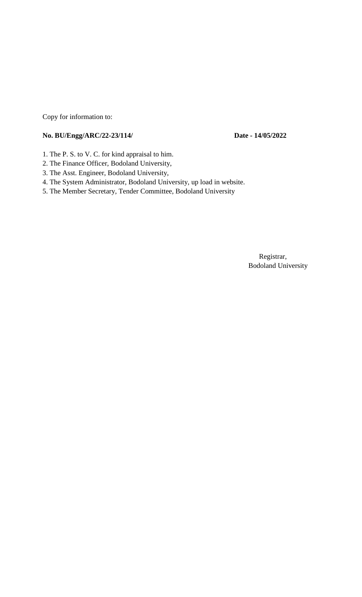Copy for information to:

#### **No. BU/Engg/ARC/22-23/114/ Date - 14/05/2022**

- 1. The P. S. to V. C. for kind appraisal to him.
- 2. The Finance Officer, Bodoland University,
- 3. The Asst. Engineer, Bodoland University,
- 4. The System Administrator, Bodoland University, up load in website.
- 5. The Member Secretary, Tender Committee, Bodoland University

 Registrar, Bodoland University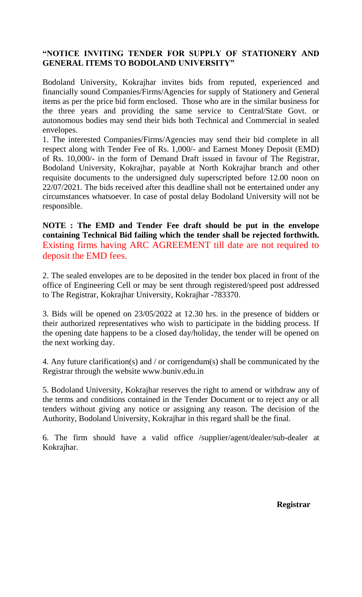## **"NOTICE INVITING TENDER FOR SUPPLY OF STATIONERY AND GENERAL ITEMS TO BODOLAND UNIVERSITY"**

Bodoland University, Kokrajhar invites bids from reputed, experienced and financially sound Companies/Firms/Agencies for supply of Stationery and General items as per the price bid form enclosed. Those who are in the similar business for the three years and providing the same service to Central/State Govt. or autonomous bodies may send their bids both Technical and Commercial in sealed envelopes.

1. The interested Companies/Firms/Agencies may send their bid complete in all respect along with Tender Fee of Rs. 1,000/- and Earnest Money Deposit (EMD) of Rs. 10,000/- in the form of Demand Draft issued in favour of The Registrar, Bodoland University, Kokrajhar, payable at North Kokrajhar branch and other requisite documents to the undersigned duly superscripted before 12.00 noon on 22/07/2021*.* The bids received after this deadline shall not be entertained under any circumstances whatsoever. In case of postal delay Bodoland University will not be responsible.

**NOTE : The EMD and Tender Fee draft should be put in the envelope containing Technical Bid failing which the tender shall be rejected forthwith.** Existing firms having ARC AGREEMENT till date are not required to deposit the EMD fees.

2. The sealed envelopes are to be deposited in the tender box placed in front of the office of Engineering Cell or may be sent through registered/speed post addressed to The Registrar, Kokrajhar University, Kokrajhar -783370.

3. Bids will be opened on 23/05/2022 at 12.30 hrs. in the presence of bidders or their authorized representatives who wish to participate in the bidding process. If the opening date happens to be a closed day/holiday, the tender will be opened on the next working day.

4. Any future clarification(s) and / or corrigendum(s) shall be communicated by the Registrar through the website www.buniv.edu.in

5. Bodoland University, Kokrajhar reserves the right to amend or withdraw any of the terms and conditions contained in the Tender Document or to reject any or all tenders without giving any notice or assigning any reason. The decision of the Authority, Bodoland University, Kokrajhar in this regard shall be the final.

6. The firm should have a valid office /supplier/agent/dealer/sub-dealer at Kokrajhar.

**Registrar**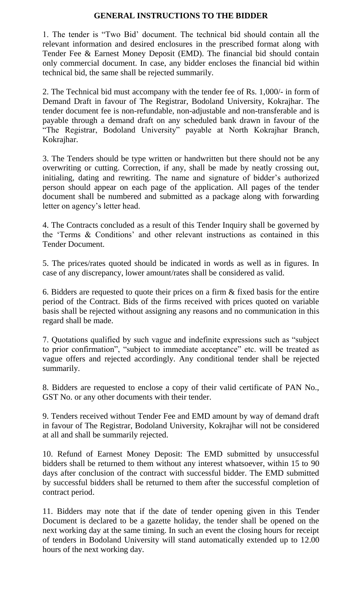#### **GENERAL INSTRUCTIONS TO THE BIDDER**

1. The tender is "Two Bid" document. The technical bid should contain all the relevant information and desired enclosures in the prescribed format along with Tender Fee & Earnest Money Deposit (EMD). The financial bid should contain only commercial document. In case, any bidder encloses the financial bid within technical bid, the same shall be rejected summarily.

2. The Technical bid must accompany with the tender fee of Rs. 1,000/- in form of Demand Draft in favour of The Registrar, Bodoland University, Kokrajhar. The tender document fee is non-refundable, non-adjustable and non-transferable and is payable through a demand draft on any scheduled bank drawn in favour of the "The Registrar, Bodoland University" payable at North Kokrajhar Branch, Kokrajhar.

3. The Tenders should be type written or handwritten but there should not be any overwriting or cutting. Correction, if any, shall be made by neatly crossing out, initialing, dating and rewriting. The name and signature of bidder"s authorized person should appear on each page of the application. All pages of the tender document shall be numbered and submitted as a package along with forwarding letter on agency"s letter head.

4. The Contracts concluded as a result of this Tender Inquiry shall be governed by the "Terms & Conditions" and other relevant instructions as contained in this Tender Document.

5. The prices/rates quoted should be indicated in words as well as in figures. In case of any discrepancy, lower amount/rates shall be considered as valid.

6. Bidders are requested to quote their prices on a firm & fixed basis for the entire period of the Contract. Bids of the firms received with prices quoted on variable basis shall be rejected without assigning any reasons and no communication in this regard shall be made.

7. Quotations qualified by such vague and indefinite expressions such as "subject to prior confirmation", "subject to immediate acceptance" etc. will be treated as vague offers and rejected accordingly. Any conditional tender shall be rejected summarily.

8. Bidders are requested to enclose a copy of their valid certificate of PAN No., GST No. or any other documents with their tender.

9. Tenders received without Tender Fee and EMD amount by way of demand draft in favour of The Registrar, Bodoland University, Kokrajhar will not be considered at all and shall be summarily rejected.

10. Refund of Earnest Money Deposit: The EMD submitted by unsuccessful bidders shall be returned to them without any interest whatsoever, within 15 to 90 days after conclusion of the contract with successful bidder. The EMD submitted by successful bidders shall be returned to them after the successful completion of contract period.

11. Bidders may note that if the date of tender opening given in this Tender Document is declared to be a gazette holiday, the tender shall be opened on the next working day at the same timing. In such an event the closing hours for receipt of tenders in Bodoland University will stand automatically extended up to 12.00 hours of the next working day.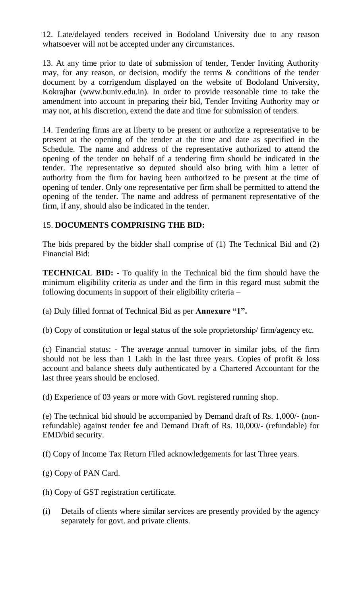12. Late/delayed tenders received in Bodoland University due to any reason whatsoever will not be accepted under any circumstances.

13. At any time prior to date of submission of tender, Tender Inviting Authority may, for any reason, or decision, modify the terms & conditions of the tender document by a corrigendum displayed on the website of Bodoland University, Kokrajhar (www.buniv.edu.in). In order to provide reasonable time to take the amendment into account in preparing their bid, Tender Inviting Authority may or may not, at his discretion, extend the date and time for submission of tenders.

14. Tendering firms are at liberty to be present or authorize a representative to be present at the opening of the tender at the time and date as specified in the Schedule. The name and address of the representative authorized to attend the opening of the tender on behalf of a tendering firm should be indicated in the tender. The representative so deputed should also bring with him a letter of authority from the firm for having been authorized to be present at the time of opening of tender. Only one representative per firm shall be permitted to attend the opening of the tender. The name and address of permanent representative of the firm, if any, should also be indicated in the tender.

#### 15. **DOCUMENTS COMPRISING THE BID:**

The bids prepared by the bidder shall comprise of (1) The Technical Bid and (2) Financial Bid:

**TECHNICAL BID: -** To qualify in the Technical bid the firm should have the minimum eligibility criteria as under and the firm in this regard must submit the following documents in support of their eligibility criteria –

(a) Duly filled format of Technical Bid as per **Annexure "1".** 

(b) Copy of constitution or legal status of the sole proprietorship/ firm/agency etc.

(c) Financial status: - The average annual turnover in similar jobs, of the firm should not be less than 1 Lakh in the last three years. Copies of profit & loss account and balance sheets duly authenticated by a Chartered Accountant for the last three years should be enclosed.

(d) Experience of 03 years or more with Govt. registered running shop.

(e) The technical bid should be accompanied by Demand draft of Rs. 1,000/- (nonrefundable) against tender fee and Demand Draft of Rs. 10,000/- (refundable) for EMD/bid security.

(f) Copy of Income Tax Return Filed acknowledgements for last Three years.

(g) Copy of PAN Card.

- (h) Copy of GST registration certificate.
- (i) Details of clients where similar services are presently provided by the agency separately for govt. and private clients.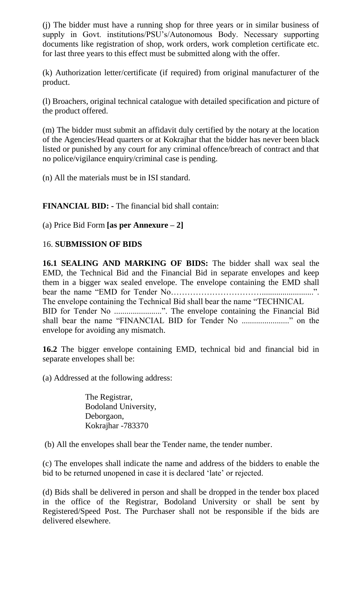(j) The bidder must have a running shop for three years or in similar business of supply in Govt. institutions/PSU"s/Autonomous Body. Necessary supporting documents like registration of shop, work orders, work completion certificate etc. for last three years to this effect must be submitted along with the offer.

(k) Authorization letter/certificate (if required) from original manufacturer of the product.

(l) Broachers, original technical catalogue with detailed specification and picture of the product offered.

(m) The bidder must submit an affidavit duly certified by the notary at the location of the Agencies/Head quarters or at Kokrajhar that the bidder has never been black listed or punished by any court for any criminal offence/breach of contract and that no police/vigilance enquiry/criminal case is pending.

(n) All the materials must be in ISI standard.

**FINANCIAL BID: -** The financial bid shall contain:

(a) Price Bid Form **[as per Annexure – 2]** 

## 16. **SUBMISSION OF BIDS**

**16.1 SEALING AND MARKING OF BIDS:** The bidder shall wax seal the EMD, the Technical Bid and the Financial Bid in separate envelopes and keep them in a bigger wax sealed envelope. The envelope containing the EMD shall bear the name "EMD for Tender No…………………………….........................". The envelope containing the Technical Bid shall bear the name "TECHNICAL BID for Tender No .......................". The envelope containing the Financial Bid shall bear the name "FINANCIAL BID for Tender No ......................." on the envelope for avoiding any mismatch.

**16.2** The bigger envelope containing EMD, technical bid and financial bid in separate envelopes shall be:

(a) Addressed at the following address:

The Registrar, Bodoland University, Deborgaon, Kokrajhar -783370

(b) All the envelopes shall bear the Tender name, the tender number.

(c) The envelopes shall indicate the name and address of the bidders to enable the bid to be returned unopened in case it is declared "late" or rejected.

(d) Bids shall be delivered in person and shall be dropped in the tender box placed in the office of the Registrar, Bodoland University or shall be sent by Registered/Speed Post. The Purchaser shall not be responsible if the bids are delivered elsewhere.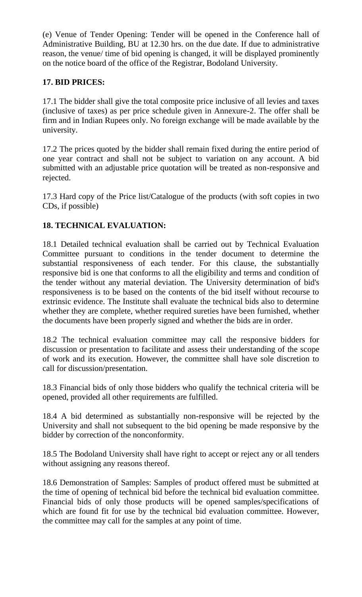(e) Venue of Tender Opening: Tender will be opened in the Conference hall of Administrative Building, BU at 12.30 hrs. on the due date. If due to administrative reason, the venue/ time of bid opening is changed, it will be displayed prominently on the notice board of the office of the Registrar, Bodoland University.

# **17. BID PRICES:**

17.1 The bidder shall give the total composite price inclusive of all levies and taxes (inclusive of taxes) as per price schedule given in Annexure-2. The offer shall be firm and in Indian Rupees only. No foreign exchange will be made available by the university.

17.2 The prices quoted by the bidder shall remain fixed during the entire period of one year contract and shall not be subject to variation on any account. A bid submitted with an adjustable price quotation will be treated as non-responsive and rejected.

17.3 Hard copy of the Price list/Catalogue of the products (with soft copies in two CDs, if possible)

# **18. TECHNICAL EVALUATION:**

18.1 Detailed technical evaluation shall be carried out by Technical Evaluation Committee pursuant to conditions in the tender document to determine the substantial responsiveness of each tender. For this clause, the substantially responsive bid is one that conforms to all the eligibility and terms and condition of the tender without any material deviation. The University determination of bid's responsiveness is to be based on the contents of the bid itself without recourse to extrinsic evidence. The Institute shall evaluate the technical bids also to determine whether they are complete, whether required sureties have been furnished, whether the documents have been properly signed and whether the bids are in order.

18.2 The technical evaluation committee may call the responsive bidders for discussion or presentation to facilitate and assess their understanding of the scope of work and its execution. However, the committee shall have sole discretion to call for discussion/presentation.

18.3 Financial bids of only those bidders who qualify the technical criteria will be opened, provided all other requirements are fulfilled.

18.4 A bid determined as substantially non-responsive will be rejected by the University and shall not subsequent to the bid opening be made responsive by the bidder by correction of the nonconformity.

18.5 The Bodoland University shall have right to accept or reject any or all tenders without assigning any reasons thereof.

18.6 Demonstration of Samples: Samples of product offered must be submitted at the time of opening of technical bid before the technical bid evaluation committee. Financial bids of only those products will be opened samples/specifications of which are found fit for use by the technical bid evaluation committee. However, the committee may call for the samples at any point of time.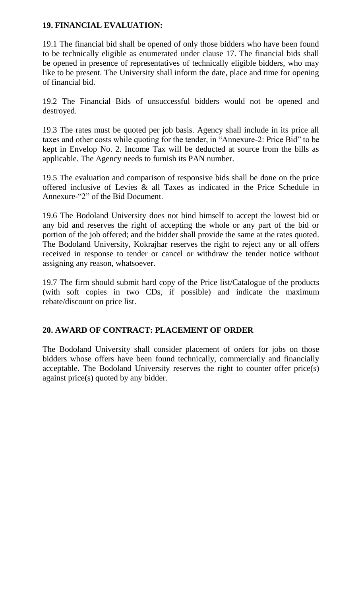## **19. FINANCIAL EVALUATION:**

19.1 The financial bid shall be opened of only those bidders who have been found to be technically eligible as enumerated under clause 17. The financial bids shall be opened in presence of representatives of technically eligible bidders, who may like to be present. The University shall inform the date, place and time for opening of financial bid.

19.2 The Financial Bids of unsuccessful bidders would not be opened and destroyed.

19.3 The rates must be quoted per job basis. Agency shall include in its price all taxes and other costs while quoting for the tender, in "Annexure-2: Price Bid" to be kept in Envelop No. 2. Income Tax will be deducted at source from the bills as applicable. The Agency needs to furnish its PAN number.

19.5 The evaluation and comparison of responsive bids shall be done on the price offered inclusive of Levies & all Taxes as indicated in the Price Schedule in Annexure-"2" of the Bid Document.

19.6 The Bodoland University does not bind himself to accept the lowest bid or any bid and reserves the right of accepting the whole or any part of the bid or portion of the job offered; and the bidder shall provide the same at the rates quoted. The Bodoland University, Kokrajhar reserves the right to reject any or all offers received in response to tender or cancel or withdraw the tender notice without assigning any reason, whatsoever.

19.7 The firm should submit hard copy of the Price list/Catalogue of the products (with soft copies in two CDs, if possible) and indicate the maximum rebate/discount on price list.

## **20. AWARD OF CONTRACT: PLACEMENT OF ORDER**

The Bodoland University shall consider placement of orders for jobs on those bidders whose offers have been found technically, commercially and financially acceptable. The Bodoland University reserves the right to counter offer price(s) against price(s) quoted by any bidder.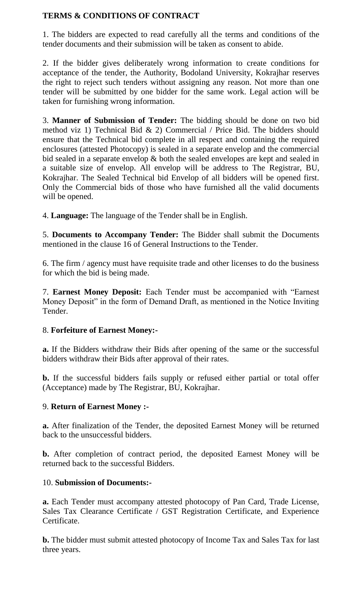## **TERMS & CONDITIONS OF CONTRACT**

1. The bidders are expected to read carefully all the terms and conditions of the tender documents and their submission will be taken as consent to abide.

2. If the bidder gives deliberately wrong information to create conditions for acceptance of the tender, the Authority, Bodoland University, Kokrajhar reserves the right to reject such tenders without assigning any reason. Not more than one tender will be submitted by one bidder for the same work. Legal action will be taken for furnishing wrong information.

3. **Manner of Submission of Tender:** The bidding should be done on two bid method viz 1) Technical Bid & 2) Commercial / Price Bid. The bidders should ensure that the Technical bid complete in all respect and containing the required enclosures (attested Photocopy) is sealed in a separate envelop and the commercial bid sealed in a separate envelop & both the sealed envelopes are kept and sealed in a suitable size of envelop. All envelop will be address to The Registrar, BU, Kokrajhar. The Sealed Technical bid Envelop of all bidders will be opened first. Only the Commercial bids of those who have furnished all the valid documents will be opened.

4. **Language:** The language of the Tender shall be in English.

5. **Documents to Accompany Tender:** The Bidder shall submit the Documents mentioned in the clause 16 of General Instructions to the Tender.

6. The firm / agency must have requisite trade and other licenses to do the business for which the bid is being made.

7. **Earnest Money Deposit:** Each Tender must be accompanied with "Earnest Money Deposit" in the form of Demand Draft, as mentioned in the Notice Inviting Tender.

#### 8. **Forfeiture of Earnest Money:-**

**a.** If the Bidders withdraw their Bids after opening of the same or the successful bidders withdraw their Bids after approval of their rates.

**b.** If the successful bidders fails supply or refused either partial or total offer (Acceptance) made by The Registrar, BU, Kokrajhar.

#### 9. **Return of Earnest Money :-**

**a.** After finalization of the Tender, the deposited Earnest Money will be returned back to the unsuccessful bidders.

**b.** After completion of contract period, the deposited Earnest Money will be returned back to the successful Bidders.

#### 10. **Submission of Documents:-**

**a.** Each Tender must accompany attested photocopy of Pan Card, Trade License, Sales Tax Clearance Certificate / GST Registration Certificate, and Experience Certificate.

**b.** The bidder must submit attested photocopy of Income Tax and Sales Tax for last three years.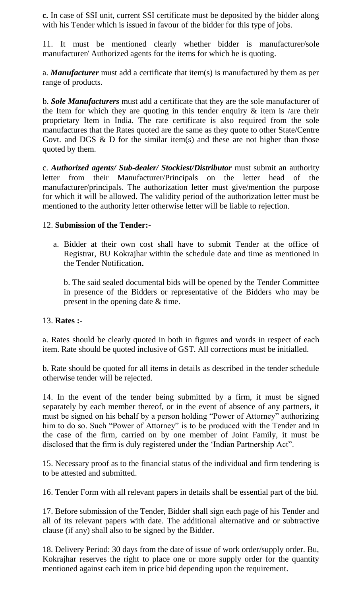**c.** In case of SSI unit, current SSI certificate must be deposited by the bidder along with his Tender which is issued in favour of the bidder for this type of jobs.

11. It must be mentioned clearly whether bidder is manufacturer/sole manufacturer/ Authorized agents for the items for which he is quoting.

a. *Manufacturer* must add a certificate that item(s) is manufactured by them as per range of products.

b. *Sole Manufacturers* must add a certificate that they are the sole manufacturer of the Item for which they are quoting in this tender enquiry  $\&$  item is /are their proprietary Item in India. The rate certificate is also required from the sole manufactures that the Rates quoted are the same as they quote to other State/Centre Govt. and DGS  $\&$  D for the similar item(s) and these are not higher than those quoted by them.

c. *Authorized agents/ Sub-dealer/ Stockiest/Distributor* must submit an authority letter from their Manufacturer/Principals on the letter head of the manufacturer/principals. The authorization letter must give/mention the purpose for which it will be allowed. The validity period of the authorization letter must be mentioned to the authority letter otherwise letter will be liable to rejection.

## 12. **Submission of the Tender:-**

a. Bidder at their own cost shall have to submit Tender at the office of Registrar, BU Kokrajhar within the schedule date and time as mentioned in the Tender Notification**.** 

b. The said sealed documental bids will be opened by the Tender Committee in presence of the Bidders or representative of the Bidders who may be present in the opening date & time.

#### 13. **Rates :-**

a. Rates should be clearly quoted in both in figures and words in respect of each item. Rate should be quoted inclusive of GST. All corrections must be initialled.

b. Rate should be quoted for all items in details as described in the tender schedule otherwise tender will be rejected.

14. In the event of the tender being submitted by a firm, it must be signed separately by each member thereof, or in the event of absence of any partners, it must be signed on his behalf by a person holding "Power of Attorney" authorizing him to do so. Such "Power of Attorney" is to be produced with the Tender and in the case of the firm, carried on by one member of Joint Family, it must be disclosed that the firm is duly registered under the "Indian Partnership Act".

15. Necessary proof as to the financial status of the individual and firm tendering is to be attested and submitted.

16. Tender Form with all relevant papers in details shall be essential part of the bid.

17. Before submission of the Tender, Bidder shall sign each page of his Tender and all of its relevant papers with date. The additional alternative and or subtractive clause (if any) shall also to be signed by the Bidder.

18. Delivery Period: 30 days from the date of issue of work order/supply order. Bu, Kokrajhar reserves the right to place one or more supply order for the quantity mentioned against each item in price bid depending upon the requirement.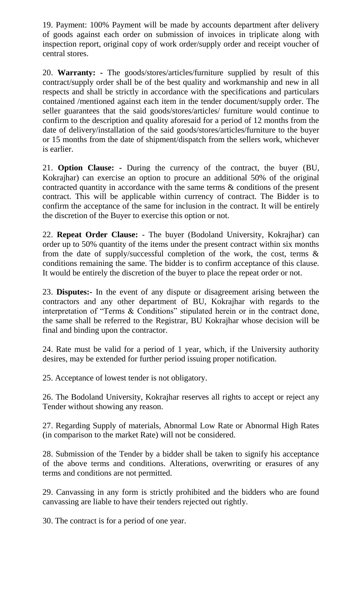19. Payment: 100% Payment will be made by accounts department after delivery of goods against each order on submission of invoices in triplicate along with inspection report, original copy of work order/supply order and receipt voucher of central stores.

20. **Warranty: -** The goods/stores/articles/furniture supplied by result of this contract/supply order shall be of the best quality and workmanship and new in all respects and shall be strictly in accordance with the specifications and particulars contained /mentioned against each item in the tender document/supply order. The seller guarantees that the said goods/stores/articles/ furniture would continue to confirm to the description and quality aforesaid for a period of 12 months from the date of delivery/installation of the said goods/stores/articles/furniture to the buyer or 15 months from the date of shipment/dispatch from the sellers work, whichever is earlier.

21. **Option Clause: -** During the currency of the contract, the buyer (BU, Kokrajhar) can exercise an option to procure an additional 50% of the original contracted quantity in accordance with the same terms & conditions of the present contract. This will be applicable within currency of contract. The Bidder is to confirm the acceptance of the same for inclusion in the contract. It will be entirely the discretion of the Buyer to exercise this option or not.

22. **Repeat Order Clause:** - The buyer (Bodoland University, Kokrajhar) can order up to 50% quantity of the items under the present contract within six months from the date of supply/successful completion of the work, the cost, terms  $\&$ conditions remaining the same. The bidder is to confirm acceptance of this clause. It would be entirely the discretion of the buyer to place the repeat order or not.

23. **Disputes:-** In the event of any dispute or disagreement arising between the contractors and any other department of BU, Kokrajhar with regards to the interpretation of "Terms & Conditions" stipulated herein or in the contract done, the same shall be referred to the Registrar, BU Kokrajhar whose decision will be final and binding upon the contractor.

24. Rate must be valid for a period of 1 year, which, if the University authority desires, may be extended for further period issuing proper notification.

25. Acceptance of lowest tender is not obligatory.

26. The Bodoland University, Kokrajhar reserves all rights to accept or reject any Tender without showing any reason.

27. Regarding Supply of materials, Abnormal Low Rate or Abnormal High Rates (in comparison to the market Rate) will not be considered.

28. Submission of the Tender by a bidder shall be taken to signify his acceptance of the above terms and conditions. Alterations, overwriting or erasures of any terms and conditions are not permitted.

29. Canvassing in any form is strictly prohibited and the bidders who are found canvassing are liable to have their tenders rejected out rightly.

30. The contract is for a period of one year.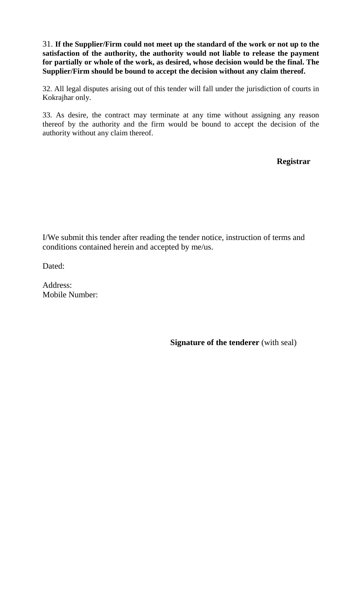31. **If the Supplier/Firm could not meet up the standard of the work or not up to the satisfaction of the authority, the authority would not liable to release the payment for partially or whole of the work, as desired, whose decision would be the final. The Supplier/Firm should be bound to accept the decision without any claim thereof.**

32. All legal disputes arising out of this tender will fall under the jurisdiction of courts in Kokrajhar only.

33. As desire, the contract may terminate at any time without assigning any reason thereof by the authority and the firm would be bound to accept the decision of the authority without any claim thereof.

**Registrar**

I/We submit this tender after reading the tender notice, instruction of terms and conditions contained herein and accepted by me/us.

Dated:

Address: Mobile Number:

**Signature of the tenderer** (with seal)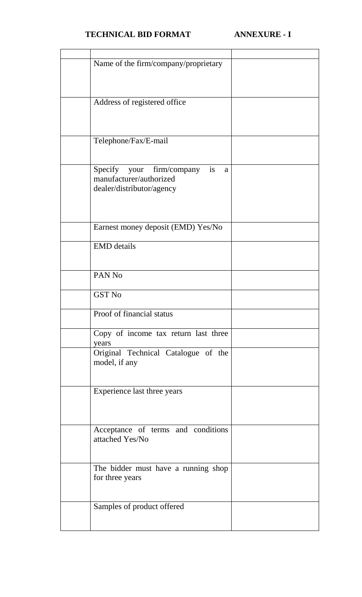# **TECHNICAL BID FORMAT ANNEXURE - I**

| Name of the firm/company/proprietary |  |
|--------------------------------------|--|
|                                      |  |
|                                      |  |
|                                      |  |
|                                      |  |
| Address of registered office         |  |
|                                      |  |
|                                      |  |
|                                      |  |
|                                      |  |
|                                      |  |
| Telephone/Fax/E-mail                 |  |
|                                      |  |
|                                      |  |
|                                      |  |
| Specify your firm/company<br>is<br>a |  |
| manufacturer/authorized              |  |
|                                      |  |
| dealer/distributor/agency            |  |
|                                      |  |
|                                      |  |
|                                      |  |
|                                      |  |
| Earnest money deposit (EMD) Yes/No   |  |
|                                      |  |
|                                      |  |
| <b>EMD</b> details                   |  |
|                                      |  |
|                                      |  |
|                                      |  |
| PAN <sub>No</sub>                    |  |
|                                      |  |
| <b>GST No</b>                        |  |
|                                      |  |
|                                      |  |
| Proof of financial status            |  |
|                                      |  |
|                                      |  |
| Copy of income tax return last three |  |
| years                                |  |
|                                      |  |
| Original Technical Catalogue of the  |  |
| model, if any                        |  |
|                                      |  |
|                                      |  |
|                                      |  |
| Experience last three years          |  |
|                                      |  |
|                                      |  |
|                                      |  |
|                                      |  |
|                                      |  |
| Acceptance of terms and conditions   |  |
| attached Yes/No                      |  |
|                                      |  |
|                                      |  |
|                                      |  |
| The bidder must have a running shop  |  |
|                                      |  |
| for three years                      |  |
|                                      |  |
|                                      |  |
|                                      |  |
| Samples of product offered           |  |
|                                      |  |
|                                      |  |
|                                      |  |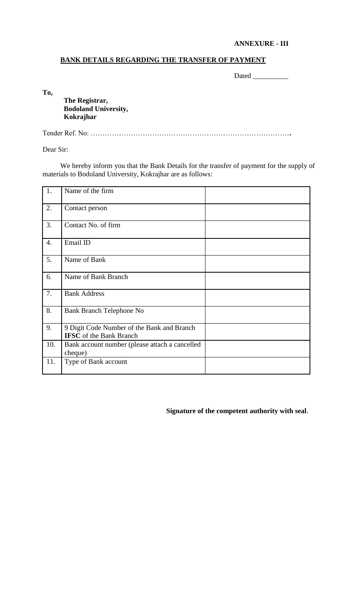#### **ANNEXURE - III**

#### **BANK DETAILS REGARDING THE TRANSFER OF PAYMENT**

Dated \_\_\_\_\_\_\_\_\_\_

**To,**

**The Registrar, Bodoland University, Kokrajhar**

Tender Ref. No: …………………………………………………………………………**.**

Dear Sir:

We hereby inform you that the Bank Details for the transfer of payment for the supply of materials to Bodoland University, Kokrajhar are as follows:

| 1.               | Name of the firm                                                             |  |
|------------------|------------------------------------------------------------------------------|--|
| 2.               | Contact person                                                               |  |
| 3.               | Contact No. of firm                                                          |  |
| $\overline{4}$ . | Email ID                                                                     |  |
| 5.               | Name of Bank                                                                 |  |
| 6.               | Name of Bank Branch                                                          |  |
| 7.               | <b>Bank Address</b>                                                          |  |
| 8.               | <b>Bank Branch Telephone No</b>                                              |  |
| 9.               | 9 Digit Code Number of the Bank and Branch<br><b>IFSC</b> of the Bank Branch |  |
| 10.              | Bank account number (please attach a cancelled<br>cheque)                    |  |
| 11.              | Type of Bank account                                                         |  |

**Signature of the competent authority with seal**.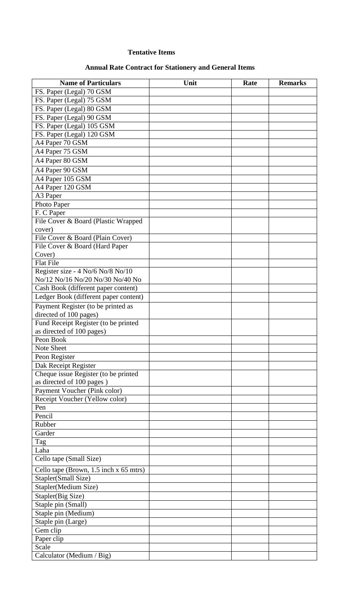#### **Tentative Items**

# **Annual Rate Contract for Stationery and General Items**

| <b>Name of Particulars</b>             | Unit | Rate | <b>Remarks</b> |
|----------------------------------------|------|------|----------------|
| FS. Paper (Legal) 70 GSM               |      |      |                |
| FS. Paper (Legal) 75 GSM               |      |      |                |
| FS. Paper (Legal) 80 GSM               |      |      |                |
| FS. Paper (Legal) 90 GSM               |      |      |                |
| FS. Paper (Legal) 105 GSM              |      |      |                |
| FS. Paper (Legal) 120 GSM              |      |      |                |
| A4 Paper 70 GSM                        |      |      |                |
| A4 Paper 75 GSM                        |      |      |                |
| A4 Paper 80 GSM                        |      |      |                |
| A4 Paper 90 GSM                        |      |      |                |
| A4 Paper 105 GSM                       |      |      |                |
| A4 Paper 120 GSM                       |      |      |                |
| A3 Paper                               |      |      |                |
| Photo Paper                            |      |      |                |
| F. C Paper                             |      |      |                |
| File Cover & Board (Plastic Wrapped    |      |      |                |
| cover)                                 |      |      |                |
| File Cover & Board (Plain Cover)       |      |      |                |
| File Cover & Board (Hard Paper         |      |      |                |
| Cover)                                 |      |      |                |
| <b>Flat File</b>                       |      |      |                |
| Register size - 4 No/6 No/8 No/10      |      |      |                |
| No/12 No/16 No/20 No/30 No/40 No       |      |      |                |
| Cash Book (different paper content)    |      |      |                |
| Ledger Book (different paper content)  |      |      |                |
| Payment Register (to be printed as     |      |      |                |
| directed of 100 pages)                 |      |      |                |
| Fund Receipt Register (to be printed   |      |      |                |
| as directed of 100 pages)              |      |      |                |
| Peon Book                              |      |      |                |
| Note Sheet                             |      |      |                |
| Peon Register                          |      |      |                |
| Dak Receipt Register                   |      |      |                |
| Cheque issue Register (to be printed   |      |      |                |
| as directed of 100 pages)              |      |      |                |
| Payment Voucher (Pink color)           |      |      |                |
| Receipt Voucher (Yellow color)         |      |      |                |
| Pen                                    |      |      |                |
| Pencil                                 |      |      |                |
| Rubber                                 |      |      |                |
| Garder                                 |      |      |                |
| Tag                                    |      |      |                |
| Laha                                   |      |      |                |
| Cello tape (Small Size)                |      |      |                |
| Cello tape (Brown, 1.5 inch x 65 mtrs) |      |      |                |
| Stapler(Small Size)                    |      |      |                |
| Stapler(Medium Size)                   |      |      |                |
| Stapler(Big Size)                      |      |      |                |
| Staple pin (Small)                     |      |      |                |
| Staple pin (Medium)                    |      |      |                |
| Staple pin (Large)                     |      |      |                |
| Gem clip                               |      |      |                |
| Paper clip                             |      |      |                |
| Scale                                  |      |      |                |
| Calculator (Medium / Big)              |      |      |                |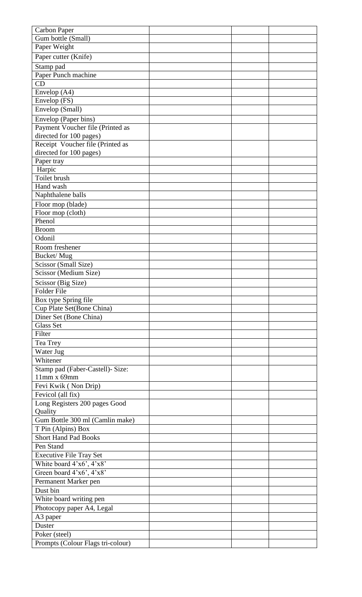| <b>Carbon Paper</b>                                         |  |  |
|-------------------------------------------------------------|--|--|
| Gum bottle (Small)                                          |  |  |
| Paper Weight                                                |  |  |
| Paper cutter (Knife)                                        |  |  |
| Stamp pad                                                   |  |  |
| Paper Punch machine                                         |  |  |
| CD                                                          |  |  |
| Envelop (A4)                                                |  |  |
| Envelop (FS)                                                |  |  |
| Envelop (Small)                                             |  |  |
|                                                             |  |  |
| Envelop (Paper bins)                                        |  |  |
| Payment Voucher file (Printed as<br>directed for 100 pages) |  |  |
| Receipt Voucher file (Printed as                            |  |  |
| directed for 100 pages)                                     |  |  |
| Paper tray                                                  |  |  |
| Harpic                                                      |  |  |
| Toilet brush                                                |  |  |
| Hand wash                                                   |  |  |
| Naphthalene balls                                           |  |  |
| Floor mop (blade)                                           |  |  |
| Floor mop (cloth)                                           |  |  |
| Phenol                                                      |  |  |
| <b>Broom</b>                                                |  |  |
| Odonil                                                      |  |  |
| Room freshener                                              |  |  |
| Bucket/Mug                                                  |  |  |
| Scissor (Small Size)                                        |  |  |
| Scissor (Medium Size)                                       |  |  |
|                                                             |  |  |
| Scissor (Big Size)<br>Folder File                           |  |  |
| Box type Spring file                                        |  |  |
| Cup Plate Set(Bone China)                                   |  |  |
| Diner Set (Bone China)                                      |  |  |
| <b>Glass Set</b>                                            |  |  |
| Filter                                                      |  |  |
| Tea Trey                                                    |  |  |
| Water Jug                                                   |  |  |
| Whitener                                                    |  |  |
|                                                             |  |  |
| Stamp pad (Faber-Castell)- Size:<br>$11mm \times 69mm$      |  |  |
| Fevi Kwik (Non Drip)                                        |  |  |
| Fevicol (all fix)                                           |  |  |
| Long Registers 200 pages Good                               |  |  |
| Quality                                                     |  |  |
| Gum Bottle 300 ml (Camlin make)                             |  |  |
| T Pin (Alpins) Box                                          |  |  |
| <b>Short Hand Pad Books</b>                                 |  |  |
| Pen Stand                                                   |  |  |
| Executive File Tray Set                                     |  |  |
| White board 4'x6', 4'x8'                                    |  |  |
|                                                             |  |  |
| Green board 4'x6', 4'x8'                                    |  |  |
| Permanent Marker pen                                        |  |  |
| Dust bin                                                    |  |  |
| White board writing pen                                     |  |  |
| Photocopy paper A4, Legal                                   |  |  |
| A3 paper                                                    |  |  |
| Duster                                                      |  |  |
| Poker (steel)                                               |  |  |
| Prompts (Colour Flags tri-colour)                           |  |  |